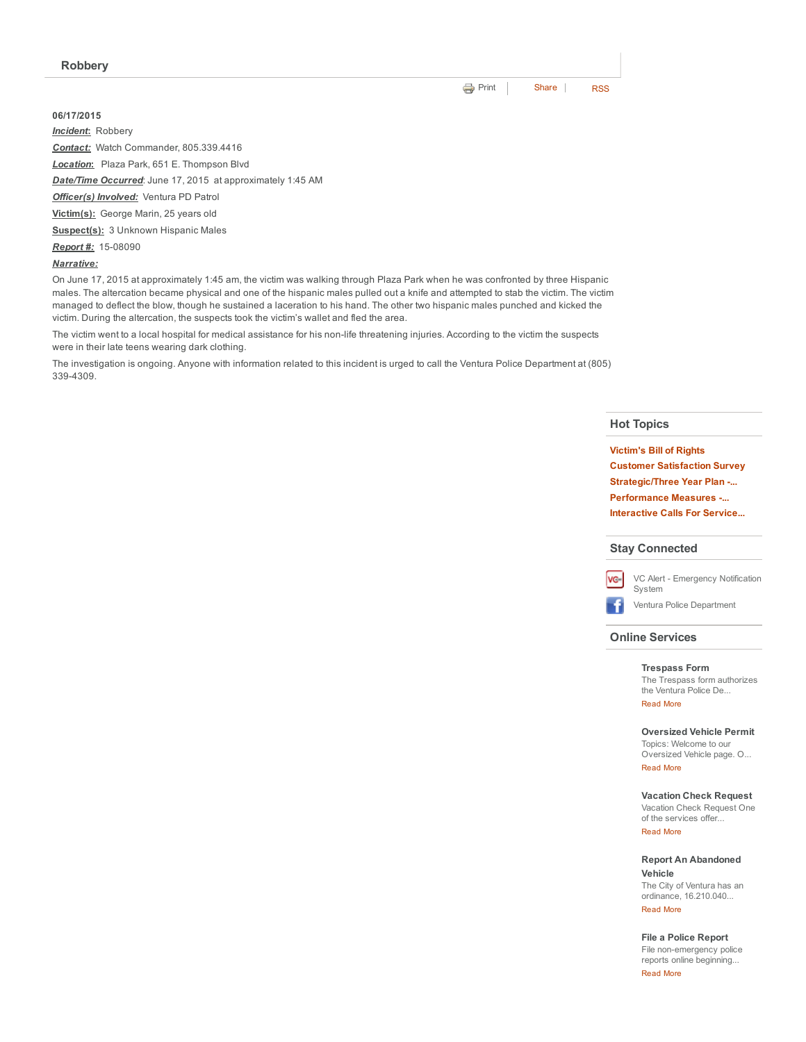### 06/17/2015

*Incident*: Robbery

*Contact:* Watch Commander, 805.339.4416

*Location*: Plaza Park, 651 E. Thompson Blvd

*Date/Time Occurred*: June 17, 2015 at approximately 1:45 AM

*Officer(s) Involved:* Ventura PD Patrol

Victim(s): George Marin, 25 years old

Suspect(s): 3 Unknown Hispanic Males

**Report #:** 15-08090

*Narrative:*

On June 17, 2015 at approximately 1:45 am, the victim was walking through Plaza Park when he was confronted by three Hispanic males. The altercation became physical and one of the hispanic males pulled out a knife and attempted to stab the victim. The victim managed to deflect the blow, though he sustained a laceration to his hand. The other two hispanic males punched and kicked the victim. During the altercation, the suspects took the victim's wallet and fled the area.

The victim went to a local hospital for medical assistance for his non-life threatening injuries. According to the victim the suspects were in their late teens wearing dark clothing.

The investigation is ongoing. Anyone with information related to this incident is urged to call the Ventura Police Department at (805) 3394309.

### Hot Topics

[Victim's](http://www.cityofventura.net/pd/about/departments/investigations#victim%27s%20ri...) Bill of Rights Customer [Satisfaction](http://www.cityofventura.net/page/customer-satisfaction-survey) Survey [Strategic/Three](http://www.cityofventura.net/pd/about/strategicplan) Year Plan -... [Performance](http://www.cityofventura.net/pd/performancemeasures) Measures ... [Interactive](http://www.cityofventura.net/pd/crime/calls#map) Calls For Service...

#### Stay Connected



VC Alert - [Emergency](http://www.cityofventura.net/VCAlert) Notification System

÷ Ventura Police [Department](http://www.facebook.com/venturapd)

### Online Services

### [Trespass](http://www.cityofventura.net/node/17382) Form

The Trespass form authorizes the Ventura Police De... [Read](http://www.cityofventura.net/Trespass) More

### [Oversized](http://www.cityofventura.net/pd/services/oversizedvehicle) Vehicle Permit

Topics: Welcome to our Oversized Vehicle page. O...

## [Read](http://www.cityofventura.net/node/15747) More

[Vacation](https://secure.coplogic.com/dors/startreport/118786800/157455601) Check Request

Vacation Check Request One of the services offer... [Read](http://www.cityofventura.net/node/15746) More

Report An [Abandoned](http://www.cityofventura.net/pd/services/abandonedvehicle) Vehicle The City of Ventura has an

ordinance, 16.210.040... [Read](http://www.cityofventura.net/node/11927) More

### File a Police [Report](http://www.cityofventura.net/pd/reporting/start-report)

File non-emergency police reports online beginning...

[Read](http://www.cityofventura.net/node/10942) More

**[Print](http://www.cityofventura.net/print/16841)** | [Share](javascript:void(0)) | [RSS](http://www.cityofventura.net/feed/press_release/rss.xml)